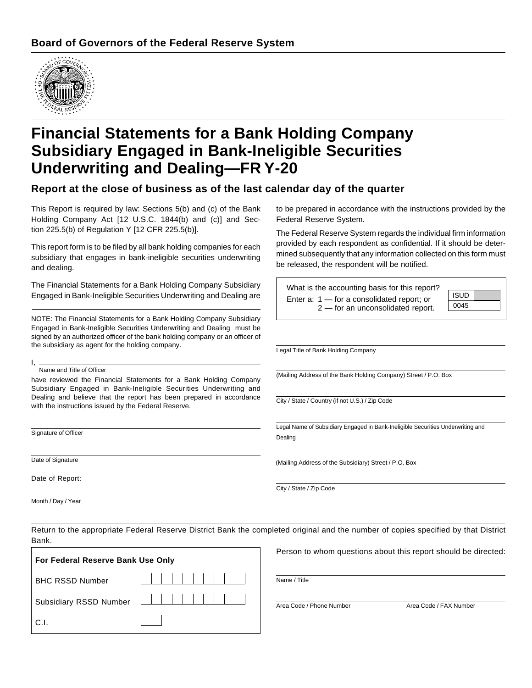

# **Financial Statements for a Bank Holding Company Subsidiary Engaged in Bank-Ineligible Securities Underwriting and Dealing—FR Y-20**

#### **Report at the close of business as of the last calendar day of the quarter**

This Report is required by law: Sections 5(b) and (c) of the Bank Holding Company Act [12 U.S.C. 1844(b) and (c)] and Section 225.5(b) of Regulation Y [12 CFR 225.5(b)].

This report form is to be filed by all bank holding companies for each subsidiary that engages in bank-ineligible securities underwriting and dealing.

The Financial Statements for a Bank Holding Company Subsidiary Engaged in Bank-Ineligible Securities Underwriting and Dealing are

NOTE: The Financial Statements for a Bank Holding Company Subsidiary Engaged in Bank-Ineligible Securities Underwriting and Dealing must be signed by an authorized officer of the bank holding company or an officer of the subsidiary as agent for the holding company.

#### I, Name and Title of Officer

have reviewed the Financial Statements for a Bank Holding Company Subsidiary Engaged in Bank-Ineligible Securities Underwriting and Dealing and believe that the report has been prepared in accordance with the instructions issued by the Federal Reserve.

Signature of Officer

Date of Signature

Date of Report:

Month / Day / Year

to be prepared in accordance with the instructions provided by the Federal Reserve System.

The Federal Reserve System regards the individual firm information provided by each respondent as confidential. If it should be determined subsequently that any information collected on this form must be released, the respondent will be notified.

| What is the accounting basis for this report?                                       |             |  |
|-------------------------------------------------------------------------------------|-------------|--|
| Enter a: $1 -$ for a consolidated report; or<br>$2$ — for an unconsolidated report. | <b>ISUD</b> |  |
|                                                                                     | 0045        |  |
|                                                                                     |             |  |

Legal Title of Bank Holding Company

(Mailing Address of the Bank Holding Company) Street / P.O. Box

City / State / Country (if not U.S.) / Zip Code

Legal Name of Subsidiary Engaged in Bank-Ineligible Securities Underwriting and Dealing

(Mailing Address of the Subsidiary) Street / P.O. Box

City / State / Zip Code

Return to the appropriate Federal Reserve District Bank the completed original and the number of copies specified by that District Bank.

| For Federal Reserve Bank Use Only |                        |  |  |  |  |  |
|-----------------------------------|------------------------|--|--|--|--|--|
| <b>BHC RSSD Number</b>            | -------------          |  |  |  |  |  |
|                                   | Subsidiary RSSD Number |  |  |  |  |  |
| C.L                               |                        |  |  |  |  |  |

Person to whom questions about this report should be directed:

Name / Title

Area Code / Phone Number Area Code / FAX Number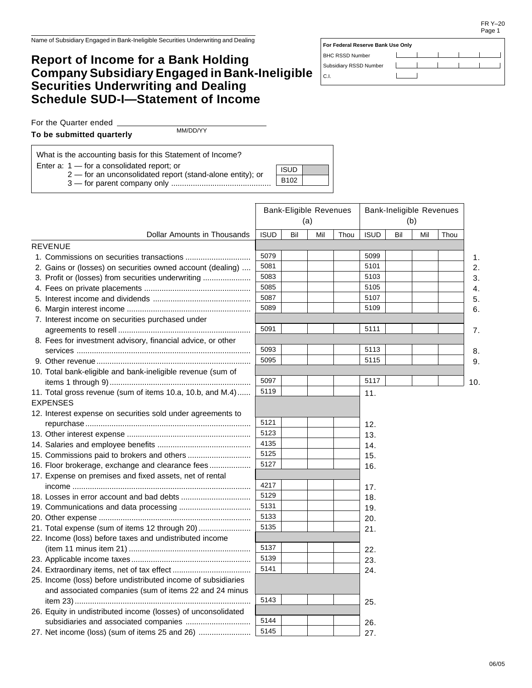#### **Report of Income for a Bank Holding Company Subsidiary Engaged in Bank-Ineligible Securities Underwriting and Dealing Schedule SUD-I—Statement of Income**

| For Federal Reserve Bank Use Only |  |  |  |  |  |  |  |
|-----------------------------------|--|--|--|--|--|--|--|
| <b>BHC RSSD Number</b>            |  |  |  |  |  |  |  |
| Subsidiary RSSD Number            |  |  |  |  |  |  |  |
| C.I.                              |  |  |  |  |  |  |  |

For the Quarter ended

**To be submitted quarterly**

MM/DD/YY

What is the accounting basis for this Statement of Income?

Enter a: 1 — for a consolidated report; or

2 — for an unconsolidated report (stand-alone entity); or

3 — for parent company only ..............................................

|                                                               | <b>Bank-Eligible Revenues</b><br>(a) |     | <b>Bank-Ineligible Revenues</b><br>(b) |      |             |     |     |      |
|---------------------------------------------------------------|--------------------------------------|-----|----------------------------------------|------|-------------|-----|-----|------|
| Dollar Amounts in Thousands                                   | <b>ISUD</b>                          | Bil | Mil                                    | Thou | <b>ISUD</b> | Bil | Mil | Thou |
| <b>REVENUE</b>                                                |                                      |     |                                        |      |             |     |     |      |
|                                                               | 5079                                 |     |                                        |      | 5099        |     |     | 1.   |
| 2. Gains or (losses) on securities owned account (dealing)    | 5081                                 |     |                                        |      | 5101        |     |     | 2.   |
| 3. Profit or (losses) from securities underwriting            | 5083                                 |     |                                        |      | 5103        |     |     | 3.   |
|                                                               | 5085                                 |     |                                        |      | 5105        |     |     | 4.   |
|                                                               | 5087                                 |     |                                        |      | 5107        |     |     | 5.   |
|                                                               | 5089                                 |     |                                        |      | 5109        |     |     | 6.   |
| 7. Interest income on securities purchased under              |                                      |     |                                        |      |             |     |     |      |
|                                                               | 5091                                 |     |                                        |      | 5111        |     |     | 7.   |
| 8. Fees for investment advisory, financial advice, or other   |                                      |     |                                        |      |             |     |     |      |
|                                                               | 5093                                 |     |                                        |      | 5113        |     |     | 8.   |
|                                                               | 5095                                 |     |                                        |      | 5115        |     |     | 9.   |
| 10. Total bank-eligible and bank-ineligible revenue (sum of   |                                      |     |                                        |      |             |     |     |      |
|                                                               | 5097                                 |     |                                        |      | 5117        |     |     | 10.  |
| 11. Total gross revenue (sum of items 10.a, 10.b, and M.4)    | 5119                                 |     |                                        |      | 11.         |     |     |      |
| <b>EXPENSES</b>                                               |                                      |     |                                        |      |             |     |     |      |
| 12. Interest expense on securities sold under agreements to   |                                      |     |                                        |      |             |     |     |      |
|                                                               | 5121                                 |     |                                        |      | 12.         |     |     |      |
|                                                               | 5123                                 |     |                                        |      | 13.         |     |     |      |
|                                                               | 4135                                 |     |                                        |      | 14.         |     |     |      |
| 15. Commissions paid to brokers and others                    | 5125                                 |     |                                        |      | 15.         |     |     |      |
| 16. Floor brokerage, exchange and clearance fees              | 5127                                 |     |                                        |      | 16.         |     |     |      |
| 17. Expense on premises and fixed assets, net of rental       |                                      |     |                                        |      |             |     |     |      |
|                                                               | 4217                                 |     |                                        |      | 17.         |     |     |      |
|                                                               | 5129                                 |     |                                        |      | 18.         |     |     |      |
|                                                               | 5131                                 |     |                                        |      | 19.         |     |     |      |
|                                                               | 5133                                 |     |                                        |      | 20.         |     |     |      |
| 21. Total expense (sum of items 12 through 20)                | 5135                                 |     |                                        |      | 21.         |     |     |      |
| 22. Income (loss) before taxes and undistributed income       |                                      |     |                                        |      |             |     |     |      |
|                                                               | 5137                                 |     |                                        |      | 22.         |     |     |      |
|                                                               | 5139                                 |     |                                        |      | 23.         |     |     |      |
|                                                               | 5141                                 |     |                                        |      | 24.         |     |     |      |
| 25. Income (loss) before undistributed income of subsidiaries |                                      |     |                                        |      |             |     |     |      |
| and associated companies (sum of items 22 and 24 minus        |                                      |     |                                        |      |             |     |     |      |
|                                                               | 5143                                 |     |                                        |      | 25.         |     |     |      |
| 26. Equity in undistributed income (losses) of unconsolidated |                                      |     |                                        |      |             |     |     |      |
|                                                               | 5144                                 |     |                                        |      | 26.         |     |     |      |
| 27. Net income (loss) (sum of items 25 and 26)                | 5145                                 |     |                                        |      | 27.         |     |     |      |

ISUD B102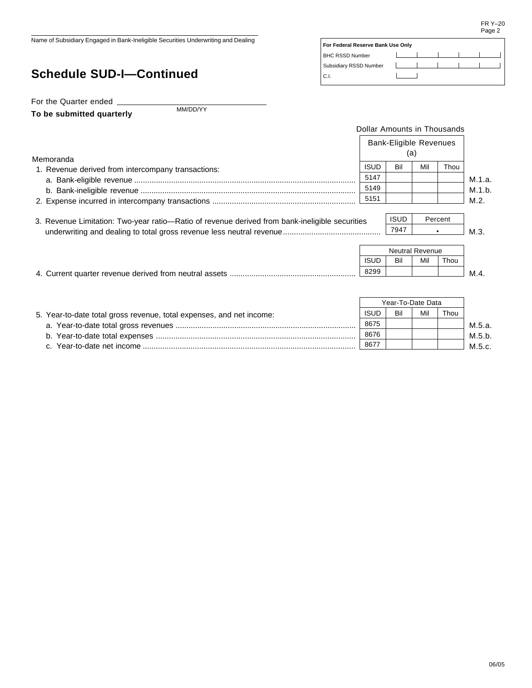$\overline{\phantom{a}}$  $\overline{1}$ 

**For Federal Reserve Bank Use Only**

 $\lfloor$ 

 $\mathbf{I}$ 

 $\overline{\phantom{a}}$  $\overline{\phantom{0}}$ 

- 1

 $\overline{1}$ 

BHC RSSD Number Subsidiary RSSD Number

C.I.

Name of Subsidiary Engaged in Bank-Ineligible Securities Underwriting and Dealing

## **Schedule SUD-I—Continued**

For the Quarter ended

**To be submitted quarterly**

MM/DD/YY

|                                                                                                | Dollar Amounts in Thousands          |                   |                               |      |        |
|------------------------------------------------------------------------------------------------|--------------------------------------|-------------------|-------------------------------|------|--------|
| Memoranda                                                                                      | <b>Bank-Eligible Revenues</b><br>(a) |                   |                               |      |        |
|                                                                                                | <b>ISUD</b>                          | Bil               | Mil                           | Thou |        |
| 1. Revenue derived from intercompany transactions:                                             | 5147                                 |                   |                               |      |        |
|                                                                                                |                                      |                   |                               |      | M.1.a. |
|                                                                                                | 5149                                 |                   |                               |      | M.1.b. |
|                                                                                                | 5151                                 |                   |                               |      | M.2.   |
| 3. Revenue Limitation: Two-year ratio—Ratio of revenue derived from bank-ineligible securities | <b>ISUD</b><br>Percent               |                   |                               |      |        |
|                                                                                                |                                      |                   |                               |      | M.3.   |
|                                                                                                | <b>ISUD</b>                          | Bil               | <b>Neutral Revenue</b><br>Mil | Thou |        |
|                                                                                                | 8299                                 |                   |                               |      | M.4.   |
|                                                                                                |                                      | Year-To-Date Data |                               |      |        |
| 5. Year-to-date total gross revenue, total expenses, and net income:                           | <b>ISUD</b>                          | Bil               | Mil                           | Thou |        |
|                                                                                                | 8675                                 |                   |                               |      | M.5.a. |
|                                                                                                | 8676                                 |                   |                               |      | M.5.b. |

| _____        | -----------------            |    |  | .  |
|--------------|------------------------------|----|--|----|
| $\sim$<br>Ü. | net income<br>-date<br>- الت | 86 |  | IИ |
|              |                              |    |  |    |